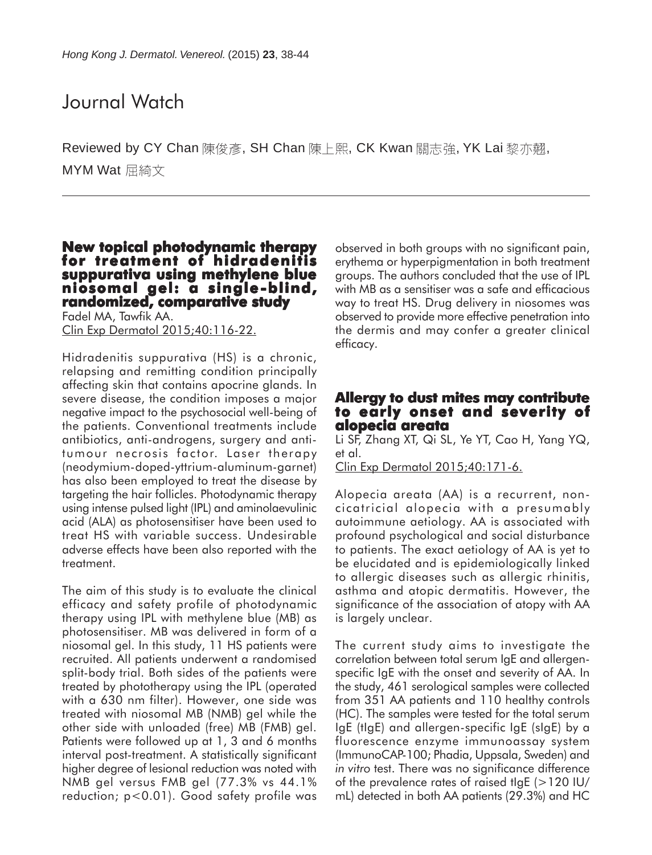# Journal Watch

Reviewed by CY Chan 陳俊彥, SH Chan 陳上熙, CK Kwan 關志強, YK Lai 黎亦翹, MYM Wat 屈綺文

### **New topical photodynamic therapy for treatment of hidradenitis suppurativa using methylene blue niosomal gel: a single-blind, -blind, randomized, comparative study**

Fadel MA, Tawfik AA. Clin Exp Dermatol 2015;40:116-22.

Hidradenitis suppurativa (HS) is a chronic, relapsing and remitting condition principally affecting skin that contains apocrine glands. In severe disease, the condition imposes a major negative impact to the psychosocial well-being of the patients. Conventional treatments include antibiotics, anti-androgens, surgery and antitumour necrosis factor. Laser therapy (neodymium-doped-yttrium-aluminum-garnet) has also been employed to treat the disease by targeting the hair follicles. Photodynamic therapy using intense pulsed light (IPL) and aminolaevulinic acid (ALA) as photosensitiser have been used to treat HS with variable success. Undesirable adverse effects have been also reported with the treatment.

The aim of this study is to evaluate the clinical efficacy and safety profile of photodynamic therapy using IPL with methylene blue (MB) as photosensitiser. MB was delivered in form of a niosomal gel. In this study, 11 HS patients were recruited. All patients underwent a randomised split-body trial. Both sides of the patients were treated by phototherapy using the IPL (operated with a 630 nm filter). However, one side was treated with niosomal MB (NMB) gel while the other side with unloaded (free) MB (FMB) gel. Patients were followed up at 1, 3 and 6 months interval post-treatment. A statistically significant higher degree of lesional reduction was noted with NMB gel versus FMB gel (77.3% vs 44.1% reduction; p<0.01). Good safety profile was

observed in both groups with no significant pain, erythema or hyperpigmentation in both treatment groups. The authors concluded that the use of IPL with MB as a sensitiser was a safe and efficacious way to treat HS. Drug delivery in niosomes was observed to provide more effective penetration into the dermis and may confer a greater clinical efficacy.

### **Allergy to dust mites may contribute to early onset and severity of of alopecia areata**

Li SF, Zhang XT, Qi SL, Ye YT, Cao H, Yang YQ, et al.

Clin Exp Dermatol 2015;40:171-6.

Alopecia areata (AA) is a recurrent, noncicatricial alopecia with a presumably autoimmune aetiology. AA is associated with profound psychological and social disturbance to patients. The exact aetiology of AA is yet to be elucidated and is epidemiologically linked to allergic diseases such as allergic rhinitis, asthma and atopic dermatitis. However, the significance of the association of atopy with AA is largely unclear.

The current study aims to investigate the correlation between total serum IgE and allergenspecific IgE with the onset and severity of AA. In the study, 461 serological samples were collected from 351 AA patients and 110 healthy controls (HC). The samples were tested for the total serum IgE (tIgE) and allergen-specific IgE (sIgE) by a fluorescence enzyme immunoassay system (ImmunoCAP-100; Phadia, Uppsala, Sweden) and *in vitro* test. There was no significance difference of the prevalence rates of raised tigE  $(>120$  IU/ mL) detected in both AA patients (29.3%) and HC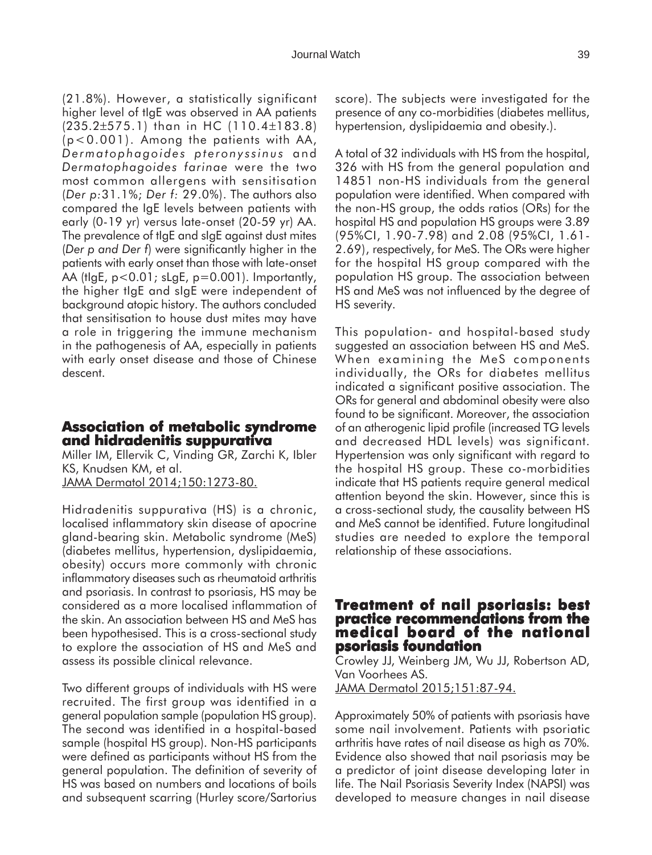(21.8%). However, a statistically significant higher level of tIgE was observed in AA patients (235.2±575.1) than in HC (110.4±183.8) (p<0.001). Among the patients with AA, *Dermatophagoides pteronyssinus* and *Dermatophagoides farinae* were the two most common allergens with sensitisation (*Der p:*31.1%; *Der f:* 29.0%). The authors also compared the IgE levels between patients with early (0-19 yr) versus late-onset (20-59 yr) AA. The prevalence of tIgE and sIgE against dust mites (*Der p and Der f*) were significantly higher in the patients with early onset than those with late-onset AA (tIgE, p<0.01; sLgE, p=0.001). Importantly, the higher tIgE and sIgE were independent of background atopic history. The authors concluded that sensitisation to house dust mites may have a role in triggering the immune mechanism in the pathogenesis of AA, especially in patients with early onset disease and those of Chinese descent.

### **Association of metabolic syndrome and hidradenitis suppurativa**

Miller IM, Ellervik C, Vinding GR, Zarchi K, Ibler KS, Knudsen KM, et al. JAMA Dermatol 2014;150:1273-80.

Hidradenitis suppurativa (HS) is a chronic, localised inflammatory skin disease of apocrine gland-bearing skin. Metabolic syndrome (MeS) (diabetes mellitus, hypertension, dyslipidaemia, obesity) occurs more commonly with chronic inflammatory diseases such as rheumatoid arthritis and psoriasis. In contrast to psoriasis, HS may be considered as a more localised inflammation of the skin. An association between HS and MeS has been hypothesised. This is a cross-sectional study to explore the association of HS and MeS and assess its possible clinical relevance.

Two different groups of individuals with HS were recruited. The first group was identified in a general population sample (population HS group). The second was identified in a hospital-based sample (hospital HS group). Non-HS participants were defined as participants without HS from the general population. The definition of severity of HS was based on numbers and locations of boils and subsequent scarring (Hurley score/Sartorius

score). The subjects were investigated for the presence of any co-morbidities (diabetes mellitus, hypertension, dyslipidaemia and obesity.).

A total of 32 individuals with HS from the hospital, 326 with HS from the general population and 14851 non-HS individuals from the general population were identified. When compared with the non-HS group, the odds ratios (ORs) for the hospital HS and population HS groups were 3.89 (95%CI, 1.90-7.98) and 2.08 (95%CI, 1.61- 2.69), respectively, for MeS. The ORs were higher for the hospital HS group compared with the population HS group. The association between HS and MeS was not influenced by the degree of HS severity.

This population- and hospital-based study suggested an association between HS and MeS. When examining the MeS components individually, the ORs for diabetes mellitus indicated a significant positive association. The ORs for general and abdominal obesity were also found to be significant. Moreover, the association of an atherogenic lipid profile (increased TG levels and decreased HDL levels) was significant. Hypertension was only significant with regard to the hospital HS group. These co-morbidities indicate that HS patients require general medical attention beyond the skin. However, since this is a cross-sectional study, the causality between HS and MeS cannot be identified. Future longitudinal studies are needed to explore the temporal relationship of these associations.

### **Treatment of nail psoriasis: best reatment of nail best practice recommendations from the medical board of the national of the national psoriasis foundation**

Crowley JJ, Weinberg JM, Wu JJ, Robertson AD, Van Voorhees AS. JAMA Dermatol 2015;151:87-94.

Approximately 50% of patients with psoriasis have some nail involvement. Patients with psoriatic arthritis have rates of nail disease as high as 70%. Evidence also showed that nail psoriasis may be a predictor of joint disease developing later in life. The Nail Psoriasis Severity Index (NAPSI) was developed to measure changes in nail disease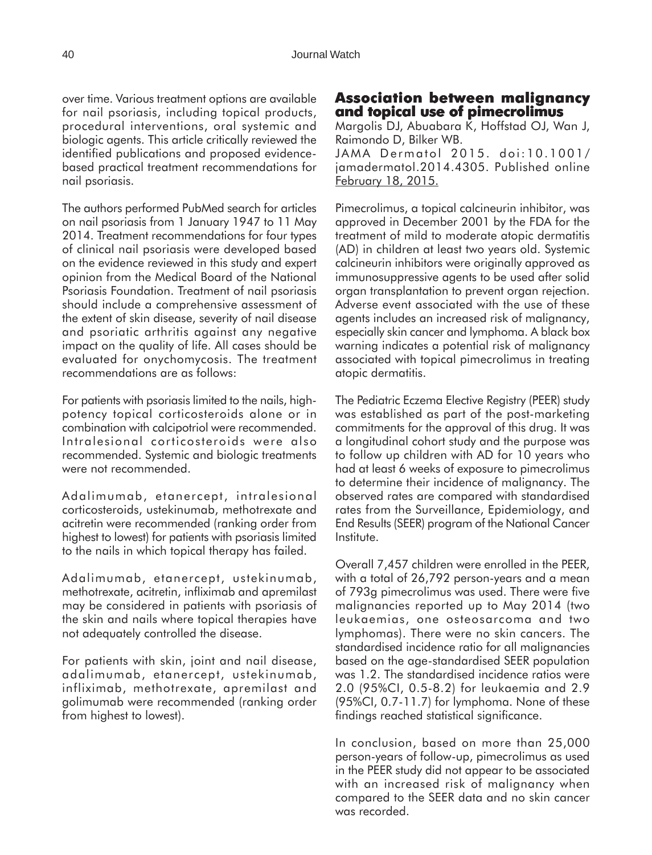over time. Various treatment options are available for nail psoriasis, including topical products, procedural interventions, oral systemic and biologic agents. This article critically reviewed the identified publications and proposed evidencebased practical treatment recommendations for nail psoriasis.

The authors performed PubMed search for articles on nail psoriasis from 1 January 1947 to 11 May 2014. Treatment recommendations for four types of clinical nail psoriasis were developed based on the evidence reviewed in this study and expert opinion from the Medical Board of the National Psoriasis Foundation. Treatment of nail psoriasis should include a comprehensive assessment of the extent of skin disease, severity of nail disease and psoriatic arthritis against any negative impact on the quality of life. All cases should be evaluated for onychomycosis. The treatment recommendations are as follows:

For patients with psoriasis limited to the nails, highpotency topical corticosteroids alone or in combination with calcipotriol were recommended. Intralesional corticosteroids were also recommended. Systemic and biologic treatments were not recommended.

Adalimumab, etanercept, intralesional corticosteroids, ustekinumab, methotrexate and acitretin were recommended (ranking order from highest to lowest) for patients with psoriasis limited to the nails in which topical therapy has failed.

Adalimumab, etanercept, ustekinumab, methotrexate, acitretin, infliximab and apremilast may be considered in patients with psoriasis of the skin and nails where topical therapies have not adequately controlled the disease.

For patients with skin, joint and nail disease, adalimumab, etanercept, ustekinumab, infliximab, methotrexate, apremilast and golimumab were recommended (ranking order from highest to lowest).

### **Association between malignancy and topical use of pimecrolimus**

Margolis DJ, Abuabara K, Hoffstad OJ, Wan J, Raimondo D, Bilker WB. JAMA Dermatol 2015. doi:10.1001/ jamadermatol.2014.4305. Published online February 18, 2015.

Pimecrolimus, a topical calcineurin inhibitor, was approved in December 2001 by the FDA for the treatment of mild to moderate atopic dermatitis (AD) in children at least two years old. Systemic calcineurin inhibitors were originally approved as immunosuppressive agents to be used after solid organ transplantation to prevent organ rejection. Adverse event associated with the use of these agents includes an increased risk of malignancy, especially skin cancer and lymphoma. A black box warning indicates a potential risk of malignancy associated with topical pimecrolimus in treating atopic dermatitis.

The Pediatric Eczema Elective Registry (PEER) study was established as part of the post-marketing commitments for the approval of this drug. It was a longitudinal cohort study and the purpose was to follow up children with AD for 10 years who had at least 6 weeks of exposure to pimecrolimus to determine their incidence of malignancy. The observed rates are compared with standardised rates from the Surveillance, Epidemiology, and End Results (SEER) program of the National Cancer Institute.

Overall 7,457 children were enrolled in the PEER, with a total of 26,792 person-years and a mean of 793g pimecrolimus was used. There were five malignancies reported up to May 2014 (two leukaemias, one osteosarcoma and two lymphomas). There were no skin cancers. The standardised incidence ratio for all malignancies based on the age-standardised SEER population was 1.2. The standardised incidence ratios were 2.0 (95%CI, 0.5-8.2) for leukaemia and 2.9 (95%CI, 0.7-11.7) for lymphoma. None of these findings reached statistical significance.

In conclusion, based on more than 25,000 person-years of follow-up, pimecrolimus as used in the PEER study did not appear to be associated with an increased risk of malignancy when compared to the SEER data and no skin cancer was recorded.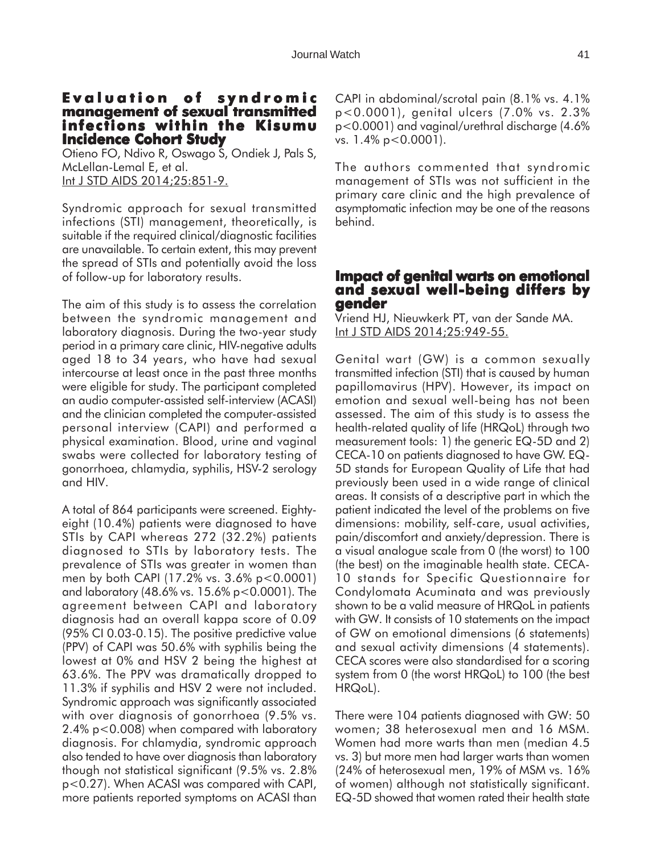#### **Evaluation of syndromic management of sexual transmitted infections within the Kisumu Incidence Cohort Study**

Otieno FO, Ndivo R, Oswago S, Ondiek J, Pals S, McLellan-Lemal E, et al. Int J STD AIDS 2014;25:851-9.

Syndromic approach for sexual transmitted infections (STI) management, theoretically, is suitable if the required clinical/diagnostic facilities are unavailable. To certain extent, this may prevent the spread of STIs and potentially avoid the loss of follow-up for laboratory results.

The aim of this study is to assess the correlation between the syndromic management and laboratory diagnosis. During the two-year study period in a primary care clinic, HIV-negative adults aged 18 to 34 years, who have had sexual intercourse at least once in the past three months were eligible for study. The participant completed an audio computer-assisted self-interview (ACASI) and the clinician completed the computer-assisted personal interview (CAPI) and performed a physical examination. Blood, urine and vaginal swabs were collected for laboratory testing of gonorrhoea, chlamydia, syphilis, HSV-2 serology and HIV.

A total of 864 participants were screened. Eightyeight (10.4%) patients were diagnosed to have STIs by CAPI whereas 272 (32.2%) patients diagnosed to STIs by laboratory tests. The prevalence of STIs was greater in women than men by both CAPI (17.2% vs. 3.6% p<0.0001) and laboratory (48.6% vs. 15.6% p<0.0001). The agreement between CAPI and laboratory diagnosis had an overall kappa score of 0.09 (95% CI 0.03-0.15). The positive predictive value (PPV) of CAPI was 50.6% with syphilis being the lowest at 0% and HSV 2 being the highest at 63.6%. The PPV was dramatically dropped to 11.3% if syphilis and HSV 2 were not included. Syndromic approach was significantly associated with over diagnosis of gonorrhoea (9.5% vs. 2.4% p<0.008) when compared with laboratory diagnosis. For chlamydia, syndromic approach also tended to have over diagnosis than laboratory though not statistical significant (9.5% vs. 2.8% p<0.27). When ACASI was compared with CAPI, more patients reported symptoms on ACASI than

CAPI in abdominal/scrotal pain (8.1% vs. 4.1% p<0.0001), genital ulcers (7.0% vs. 2.3% p<0.0001) and vaginal/urethral discharge (4.6% vs. 1.4% p<0.0001).

The authors commented that syndromic management of STIs was not sufficient in the primary care clinic and the high prevalence of asymptomatic infection may be one of the reasons behind.

## **Impact of genital warts on emotional Impact genital warts on emotional and sexual well-being differs by gender**

Vriend HJ, Nieuwkerk PT, van der Sande MA. Int J STD AIDS 2014;25:949-55.

Genital wart (GW) is a common sexually transmitted infection (STI) that is caused by human papillomavirus (HPV). However, its impact on emotion and sexual well-being has not been assessed. The aim of this study is to assess the health-related quality of life (HRQoL) through two measurement tools: 1) the generic EQ-5D and 2) CECA-10 on patients diagnosed to have GW. EQ-5D stands for European Quality of Life that had previously been used in a wide range of clinical areas. It consists of a descriptive part in which the patient indicated the level of the problems on five dimensions: mobility, self-care, usual activities, pain/discomfort and anxiety/depression. There is a visual analogue scale from 0 (the worst) to 100 (the best) on the imaginable health state. CECA-10 stands for Specific Questionnaire for Condylomata Acuminata and was previously shown to be a valid measure of HRQoL in patients with GW. It consists of 10 statements on the impact of GW on emotional dimensions (6 statements) and sexual activity dimensions (4 statements). CECA scores were also standardised for a scoring system from 0 (the worst HRQoL) to 100 (the best HRQoL).

There were 104 patients diagnosed with GW: 50 women; 38 heterosexual men and 16 MSM. Women had more warts than men (median 4.5 vs. 3) but more men had larger warts than women (24% of heterosexual men, 19% of MSM vs. 16% of women) although not statistically significant. EQ-5D showed that women rated their health state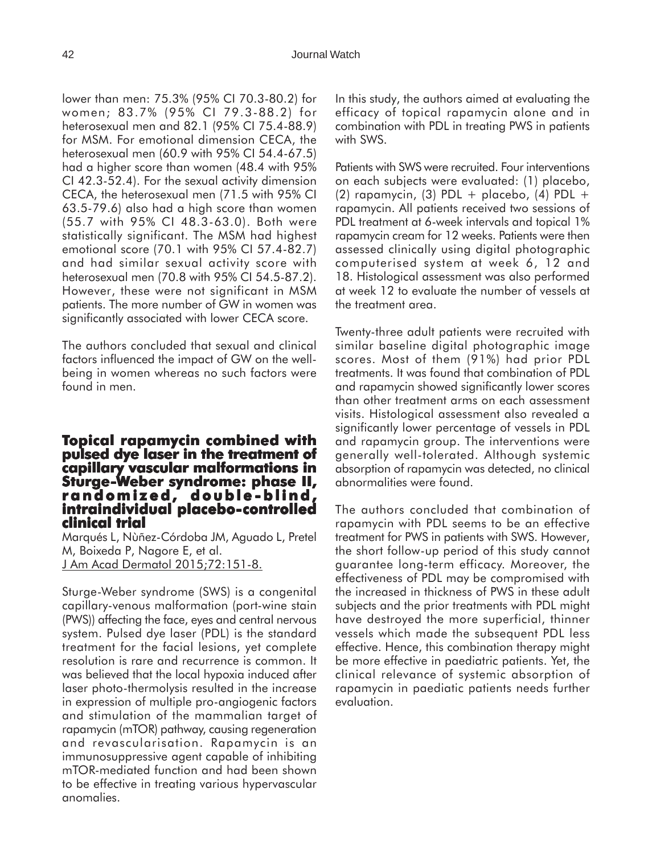lower than men: 75.3% (95% CI 70.3-80.2) for women; 83.7% (95% CI 79.3-88.2) for heterosexual men and 82.1 (95% CI 75.4-88.9) for MSM. For emotional dimension CECA, the heterosexual men (60.9 with 95% CI 54.4-67.5) had a higher score than women (48.4 with 95% CI 42.3-52.4). For the sexual activity dimension CECA, the heterosexual men (71.5 with 95% CI 63.5-79.6) also had a high score than women (55.7 with 95% CI 48.3-63.0). Both were statistically significant. The MSM had highest emotional score (70.1 with 95% CI 57.4-82.7) and had similar sexual activity score with heterosexual men (70.8 with 95% CI 54.5-87.2). However, these were not significant in MSM patients. The more number of GW in women was significantly associated with lower CECA score.

The authors concluded that sexual and clinical factors influenced the impact of GW on the wellbeing in women whereas no such factors were found in men.

### **Topical rapamycin combined with pulsed dye laser in the treatment of laser in the treatment of capillary vascular malformations in Sturge-Weber syndrome: phase II, eber syndrome: II, randomized, double -blind, -blind, intraindividual placebo-controlled clinical trial**

Marqués L, Nùñez-Córdoba JM, Aguado L, Pretel M, Boixeda P, Nagore E, et al. J Am Acad Dermatol 2015;72:151-8.

Sturge-Weber syndrome (SWS) is a congenital capillary-venous malformation (port-wine stain (PWS)) affecting the face, eyes and central nervous system. Pulsed dye laser (PDL) is the standard treatment for the facial lesions, yet complete resolution is rare and recurrence is common. It was believed that the local hypoxia induced after laser photo-thermolysis resulted in the increase in expression of multiple pro-angiogenic factors and stimulation of the mammalian target of rapamycin (mTOR) pathway, causing regeneration and revascularisation. Rapamycin is an immunosuppressive agent capable of inhibiting mTOR-mediated function and had been shown to be effective in treating various hypervascular anomalies.

In this study, the authors aimed at evaluating the efficacy of topical rapamycin alone and in combination with PDL in treating PWS in patients with SWS.

Patients with SWS were recruited. Four interventions on each subjects were evaluated: (1) placebo, (2) rapamycin, (3) PDL + placebo, (4) PDL + rapamycin. All patients received two sessions of PDL treatment at 6-week intervals and topical 1% rapamycin cream for 12 weeks. Patients were then assessed clinically using digital photographic computerised system at week 6, 12 and 18. Histological assessment was also performed at week 12 to evaluate the number of vessels at the treatment area.

Twenty-three adult patients were recruited with similar baseline digital photographic image scores. Most of them (91%) had prior PDL treatments. It was found that combination of PDL and rapamycin showed significantly lower scores than other treatment arms on each assessment visits. Histological assessment also revealed a significantly lower percentage of vessels in PDL and rapamycin group. The interventions were generally well-tolerated. Although systemic absorption of rapamycin was detected, no clinical abnormalities were found.

The authors concluded that combination of rapamycin with PDL seems to be an effective treatment for PWS in patients with SWS. However, the short follow-up period of this study cannot guarantee long-term efficacy. Moreover, the effectiveness of PDL may be compromised with the increased in thickness of PWS in these adult subjects and the prior treatments with PDL might have destroyed the more superficial, thinner vessels which made the subsequent PDL less effective. Hence, this combination therapy might be more effective in paediatric patients. Yet, the clinical relevance of systemic absorption of rapamycin in paediatic patients needs further evaluation.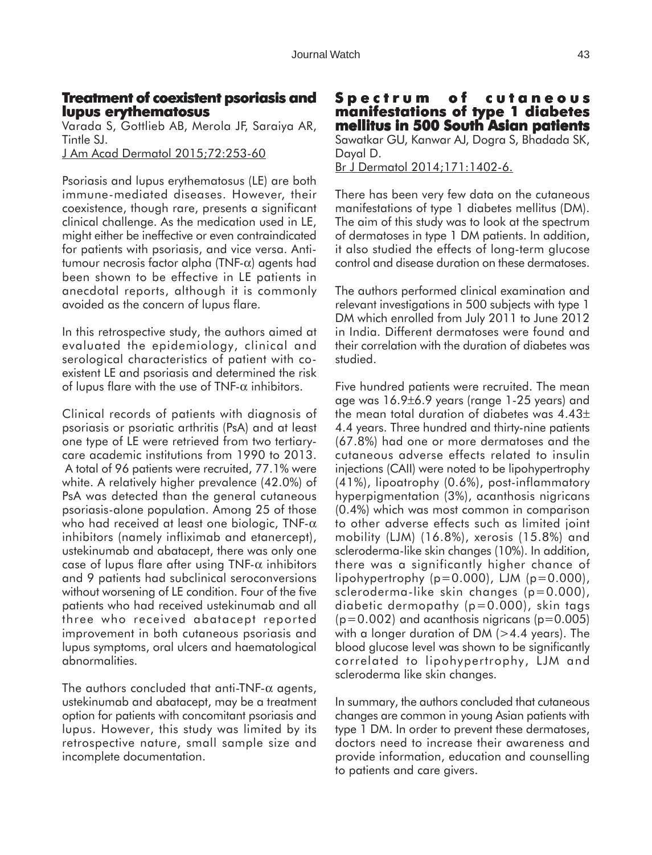# **Treatment of coexistent psoriasis and lupus erythematosus**

Varada S, Gottlieb AB, Merola JF, Saraiya AR, Tintle SJ. J Am Acad Dermatol 2015;72:253-60

Psoriasis and lupus erythematosus (LE) are both immune-mediated diseases. However, their coexistence, though rare, presents a significant clinical challenge. As the medication used in LE, might either be ineffective or even contraindicated for patients with psoriasis, and vice versa. Antitumour necrosis factor alpha (TNF-α) agents had been shown to be effective in LE patients in anecdotal reports, although it is commonly avoided as the concern of lupus flare.

In this retrospective study, the authors aimed at evaluated the epidemiology, clinical and serological characteristics of patient with coexistent LE and psoriasis and determined the risk of lupus flare with the use of TNF- $\alpha$  inhibitors.

Clinical records of patients with diagnosis of psoriasis or psoriatic arthritis (PsA) and at least one type of LE were retrieved from two tertiarycare academic institutions from 1990 to 2013. A total of 96 patients were recruited, 77.1% were white. A relatively higher prevalence (42.0%) of PsA was detected than the general cutaneous psoriasis-alone population. Among 25 of those who had received at least one biologic, TNF- $\alpha$ inhibitors (namely infliximab and etanercept), ustekinumab and abatacept, there was only one case of lupus flare after using TNF- $\alpha$  inhibitors and 9 patients had subclinical seroconversions without worsening of LE condition. Four of the five patients who had received ustekinumab and all three who received abatacept reported improvement in both cutaneous psoriasis and lupus symptoms, oral ulcers and haematological abnormalities.

The authors concluded that anti-TNF- $\alpha$  agents, ustekinumab and abatacept, may be a treatment option for patients with concomitant psoriasis and lupus. However, this study was limited by its retrospective nature, small sample size and incomplete documentation.

### **Spectrum of cutaneous manifestations of type 1 diabetes mellitus in 500 South Asian patients** Sawatkar GU, Kanwar AJ, Dogra S, Bhadada SK,

Dayal D. Br J Dermatol 2014;171:1402-6.

There has been very few data on the cutaneous manifestations of type 1 diabetes mellitus (DM). The aim of this study was to look at the spectrum of dermatoses in type 1 DM patients. In addition, it also studied the effects of long-term glucose control and disease duration on these dermatoses.

The authors performed clinical examination and relevant investigations in 500 subjects with type 1 DM which enrolled from July 2011 to June 2012 in India. Different dermatoses were found and their correlation with the duration of diabetes was studied.

Five hundred patients were recruited. The mean age was 16.9±6.9 years (range 1-25 years) and the mean total duration of diabetes was 4.43± 4.4 years. Three hundred and thirty-nine patients (67.8%) had one or more dermatoses and the cutaneous adverse effects related to insulin injections (CAII) were noted to be lipohypertrophy (41%), lipoatrophy (0.6%), post-inflammatory hyperpigmentation (3%), acanthosis nigricans (0.4%) which was most common in comparison to other adverse effects such as limited joint mobility (LJM) (16.8%), xerosis (15.8%) and scleroderma-like skin changes (10%). In addition, there was a significantly higher chance of lipohypertrophy  $(p=0.000)$ , LJM  $(p=0.000)$ , scleroderma-like skin changes (p=0.000), diabetic dermopathy (p=0.000), skin tags  $(p=0.002)$  and acanthosis nigricans  $(p=0.005)$ with a longer duration of DM  $(>4.4$  years). The blood glucose level was shown to be significantly correlated to lipohypertrophy, LJM and scleroderma like skin changes.

In summary, the authors concluded that cutaneous changes are common in young Asian patients with type 1 DM. In order to prevent these dermatoses, doctors need to increase their awareness and provide information, education and counselling to patients and care givers.